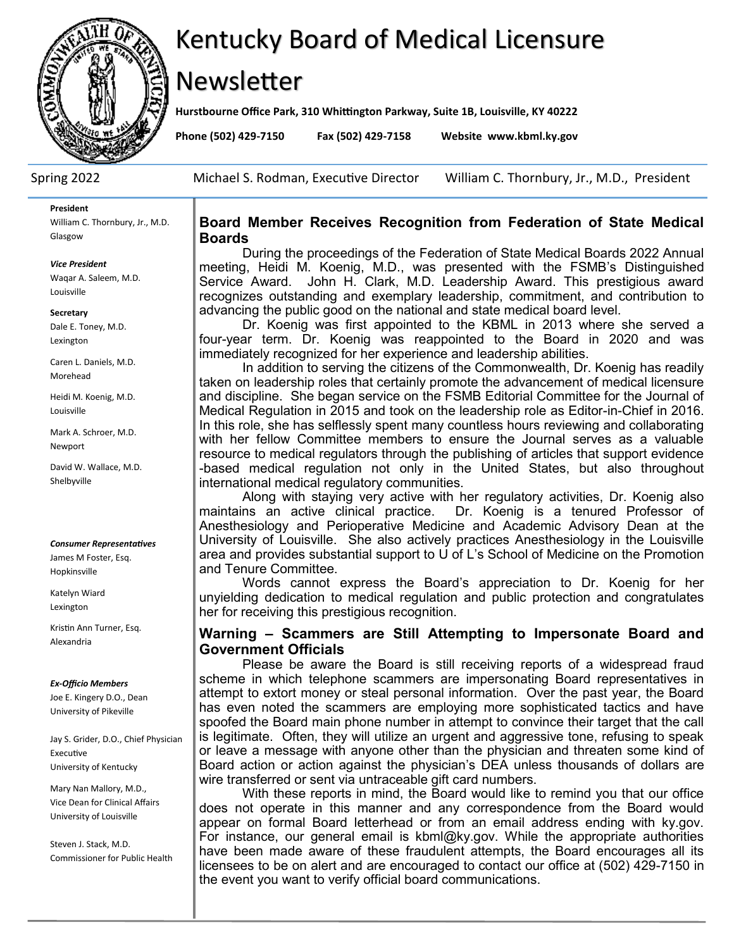

# Kentucky Board of Medical Licensure

# Newsletter

**Hurstbourne Office Park, 310 Whittington Parkway, Suite 1B, Louisville, KY 40222**

**Phone (502) 429-7150 Fax (502) 429-7158 Website www.kbml.ky.gov**

Spring 2022 Michael S. Rodman, Executive Director William C. Thornbury, Jr., M.D., President

#### **President**

William C. Thornbury, Jr., M.D. Glasgow

#### *Vice President*

Waqar A. Saleem, M.D. Louisville

#### **Secretary**

Dale E. Toney, M.D. Lexington

Caren L. Daniels, M.D. Morehead

Heidi M. Koenig, M.D. Louisville

Mark A. Schroer, M.D. Newport

David W. Wallace, M.D. Shelbyville

#### *Consumer Representatives*

James M Foster, Esq. Hopkinsville

Katelyn Wiard Lexington

Kristin Ann Turner, Esq. Alexandria

#### *Ex-Officio Members*

Joe E. Kingery D.O., Dean University of Pikeville

Jay S. Grider, D.O., Chief Physician Executive University of Kentucky

Mary Nan Mallory, M.D., Vice Dean for Clinical Affairs University of Louisville

Steven J. Stack, M.D. Commissioner for Public Health

## **Board Member Receives Recognition from Federation of State Medical Boards**

During the proceedings of the Federation of State Medical Boards 2022 Annual meeting, Heidi M. Koenig, M.D., was presented with the FSMB's Distinguished Service Award. John H. Clark, M.D. Leadership Award. This prestigious award recognizes outstanding and exemplary leadership, commitment, and contribution to advancing the public good on the national and state medical board level.

Dr. Koenig was first appointed to the KBML in 2013 where she served a four-year term. Dr. Koenig was reappointed to the Board in 2020 and was immediately recognized for her experience and leadership abilities.

In addition to serving the citizens of the Commonwealth, Dr. Koenig has readily taken on leadership roles that certainly promote the advancement of medical licensure and discipline. She began service on the FSMB Editorial Committee for the Journal of Medical Regulation in 2015 and took on the leadership role as Editor-in-Chief in 2016. In this role, she has selflessly spent many countless hours reviewing and collaborating with her fellow Committee members to ensure the Journal serves as a valuable resource to medical regulators through the publishing of articles that support evidence -based medical regulation not only in the United States, but also throughout international medical regulatory communities.

Along with staying very active with her regulatory activities, Dr. Koenig also maintains an active clinical practice. Dr. Koenig is a tenured Professor of Anesthesiology and Perioperative Medicine and Academic Advisory Dean at the University of Louisville. She also actively practices Anesthesiology in the Louisville area and provides substantial support to U of L's School of Medicine on the Promotion and Tenure Committee.

Words cannot express the Board's appreciation to Dr. Koenig for her unyielding dedication to medical regulation and public protection and congratulates her for receiving this prestigious recognition.

# **Warning – Scammers are Still Attempting to Impersonate Board and Government Officials**

Please be aware the Board is still receiving reports of a widespread fraud scheme in which telephone scammers are impersonating Board representatives in attempt to extort money or steal personal information. Over the past year, the Board has even noted the scammers are employing more sophisticated tactics and have spoofed the Board main phone number in attempt to convince their target that the call is legitimate. Often, they will utilize an urgent and aggressive tone, refusing to speak or leave a message with anyone other than the physician and threaten some kind of Board action or action against the physician's DEA unless thousands of dollars are wire transferred or sent via untraceable gift card numbers.

With these reports in mind, the Board would like to remind you that our office does not operate in this manner and any correspondence from the Board would appear on formal Board letterhead or from an email address ending with ky.gov. For instance, our general email is kbml@ky.gov. While the appropriate authorities have been made aware of these fraudulent attempts, the Board encourages all its licensees to be on alert and are encouraged to contact our office at (502) 429-7150 in the event you want to verify official board communications.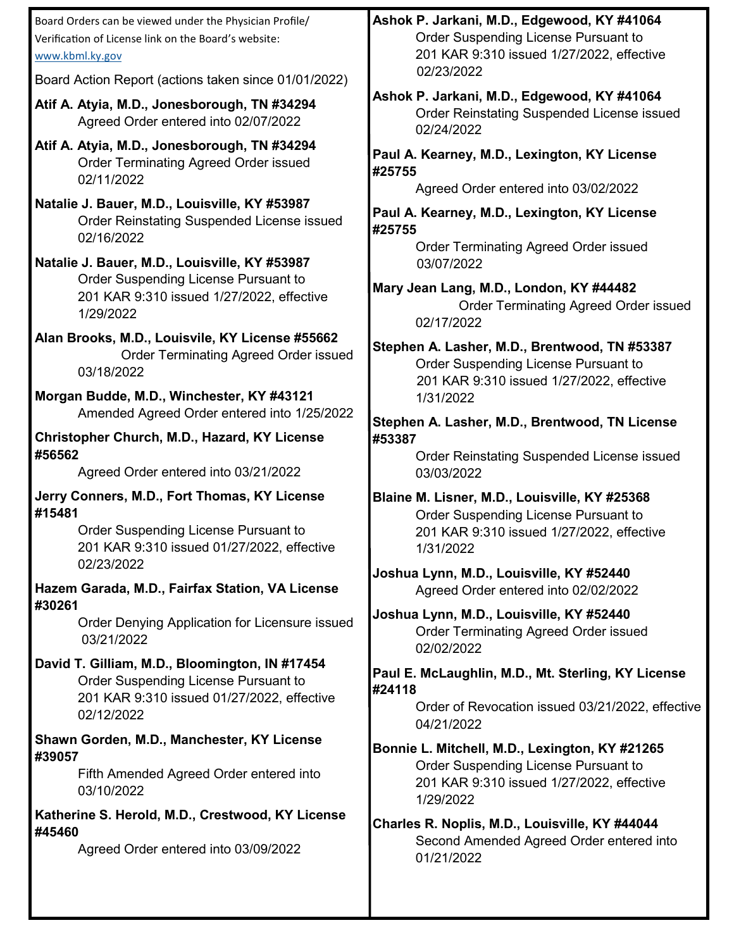| Board Orders can be viewed under the Physician Profile/<br>Verification of License link on the Board's website:<br>www.kbml.ky.gov                 | Ashok P. Jarkani, M.D., Edgewood, KY #41064<br>Order Suspending License Pursuant to<br>201 KAR 9:310 issued 1/27/2022, effective                |  |  |
|----------------------------------------------------------------------------------------------------------------------------------------------------|-------------------------------------------------------------------------------------------------------------------------------------------------|--|--|
| Board Action Report (actions taken since 01/01/2022)                                                                                               | 02/23/2022                                                                                                                                      |  |  |
| Atif A. Atyia, M.D., Jonesborough, TN #34294<br>Agreed Order entered into 02/07/2022                                                               | Ashok P. Jarkani, M.D., Edgewood, KY #41064<br>Order Reinstating Suspended License issued<br>02/24/2022                                         |  |  |
| Atif A. Atyia, M.D., Jonesborough, TN #34294<br><b>Order Terminating Agreed Order issued</b><br>02/11/2022                                         | Paul A. Kearney, M.D., Lexington, KY License<br>#25755                                                                                          |  |  |
| Natalie J. Bauer, M.D., Louisville, KY #53987<br><b>Order Reinstating Suspended License issued</b><br>02/16/2022                                   | Agreed Order entered into 03/02/2022<br>Paul A. Kearney, M.D., Lexington, KY License<br>#25755                                                  |  |  |
| Natalie J. Bauer, M.D., Louisville, KY #53987                                                                                                      | <b>Order Terminating Agreed Order issued</b><br>03/07/2022                                                                                      |  |  |
| Order Suspending License Pursuant to<br>201 KAR 9:310 issued 1/27/2022, effective<br>1/29/2022                                                     | Mary Jean Lang, M.D., London, KY #44482<br><b>Order Terminating Agreed Order issued</b><br>02/17/2022                                           |  |  |
| Alan Brooks, M.D., Louisvile, KY License #55662<br><b>Order Terminating Agreed Order issued</b><br>03/18/2022                                      | Stephen A. Lasher, M.D., Brentwood, TN #53387<br>Order Suspending License Pursuant to<br>201 KAR 9:310 issued 1/27/2022, effective              |  |  |
| Morgan Budde, M.D., Winchester, KY #43121<br>Amended Agreed Order entered into 1/25/2022                                                           | 1/31/2022                                                                                                                                       |  |  |
| Christopher Church, M.D., Hazard, KY License<br>#56562                                                                                             | Stephen A. Lasher, M.D., Brentwood, TN License<br>#53387                                                                                        |  |  |
| Agreed Order entered into 03/21/2022                                                                                                               | <b>Order Reinstating Suspended License issued</b><br>03/03/2022                                                                                 |  |  |
| Jerry Conners, M.D., Fort Thomas, KY License<br>#15481<br>Order Suspending License Pursuant to<br>201 KAR 9:310 issued 01/27/2022, effective       | Blaine M. Lisner, M.D., Louisville, KY #25368<br>Order Suspending License Pursuant to<br>201 KAR 9:310 issued 1/27/2022, effective<br>1/31/2022 |  |  |
| 02/23/2022<br>Hazem Garada, M.D., Fairfax Station, VA License                                                                                      | Joshua Lynn, M.D., Louisville, KY #52440<br>Agreed Order entered into 02/02/2022                                                                |  |  |
| #30261<br>Order Denying Application for Licensure issued<br>03/21/2022                                                                             | Joshua Lynn, M.D., Louisville, KY #52440<br><b>Order Terminating Agreed Order issued</b><br>02/02/2022                                          |  |  |
| David T. Gilliam, M.D., Bloomington, IN #17454<br>Order Suspending License Pursuant to<br>201 KAR 9:310 issued 01/27/2022, effective<br>02/12/2022 | Paul E. McLaughlin, M.D., Mt. Sterling, KY License<br>#24118<br>Order of Revocation issued 03/21/2022, effective<br>04/21/2022                  |  |  |
| Shawn Gorden, M.D., Manchester, KY License                                                                                                         | Bonnie L. Mitchell, M.D., Lexington, KY #21265                                                                                                  |  |  |
| #39057<br>Fifth Amended Agreed Order entered into<br>03/10/2022                                                                                    | Order Suspending License Pursuant to<br>201 KAR 9:310 issued 1/27/2022, effective<br>1/29/2022                                                  |  |  |
| Katherine S. Herold, M.D., Crestwood, KY License<br>#45460                                                                                         | Charles R. Noplis, M.D., Louisville, KY #44044                                                                                                  |  |  |
| Agreed Order entered into 03/09/2022                                                                                                               | Second Amended Agreed Order entered into<br>01/21/2022                                                                                          |  |  |
|                                                                                                                                                    |                                                                                                                                                 |  |  |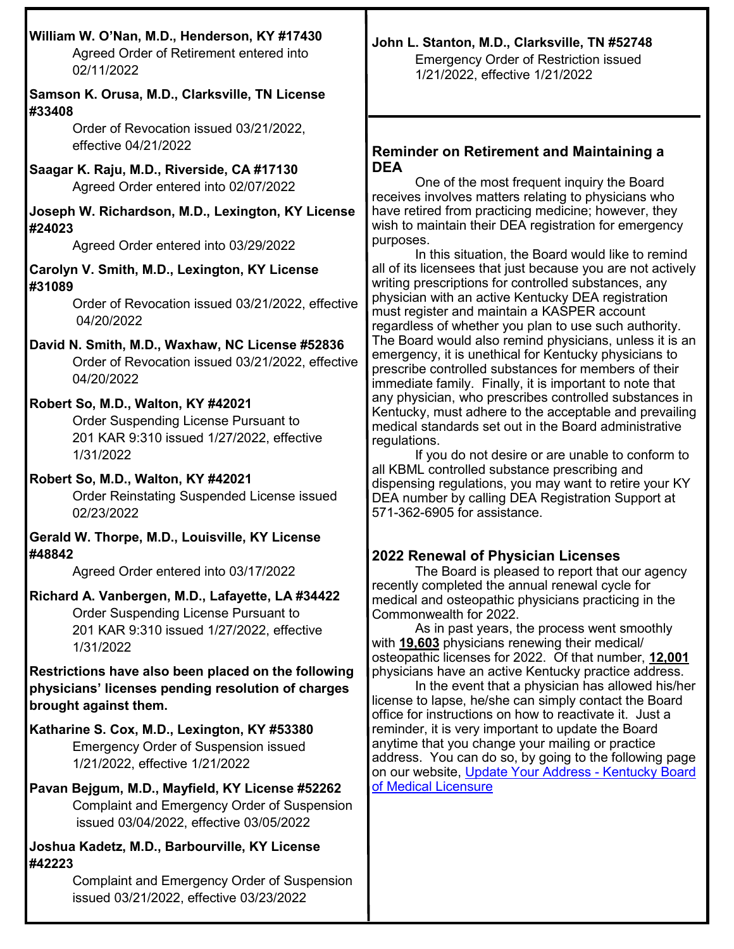| William W. O'Nan, M.D., Henderson, KY #17430<br>Agreed Order of Retirement entered into<br>02/11/2022                                                                                                                                                                                                                                                                                                                                                                                                                                                                                                                                                                                                                                                                                                                                                                                                                                                                                                                                                                                                                                                                                                                                                                                                                                                                                                                                                                                                                                                     | John L. Stanton, M.D., Clarksville, TN #52748<br><b>Emergency Order of Restriction issued</b><br>1/21/2022, effective 1/21/2022                                                                                                                                                                                                                                                                                                                                                                                                                                                                                                                                                                                                                                                                                                                                                                                                                                                                                                                                                                                                                                                                                                                                                                                                                                                                                                                                                                                                                                                                                                                                                                                                                                                                                                                                                                                                                                                                                                                                                                                                                                                                                 |
|-----------------------------------------------------------------------------------------------------------------------------------------------------------------------------------------------------------------------------------------------------------------------------------------------------------------------------------------------------------------------------------------------------------------------------------------------------------------------------------------------------------------------------------------------------------------------------------------------------------------------------------------------------------------------------------------------------------------------------------------------------------------------------------------------------------------------------------------------------------------------------------------------------------------------------------------------------------------------------------------------------------------------------------------------------------------------------------------------------------------------------------------------------------------------------------------------------------------------------------------------------------------------------------------------------------------------------------------------------------------------------------------------------------------------------------------------------------------------------------------------------------------------------------------------------------|-----------------------------------------------------------------------------------------------------------------------------------------------------------------------------------------------------------------------------------------------------------------------------------------------------------------------------------------------------------------------------------------------------------------------------------------------------------------------------------------------------------------------------------------------------------------------------------------------------------------------------------------------------------------------------------------------------------------------------------------------------------------------------------------------------------------------------------------------------------------------------------------------------------------------------------------------------------------------------------------------------------------------------------------------------------------------------------------------------------------------------------------------------------------------------------------------------------------------------------------------------------------------------------------------------------------------------------------------------------------------------------------------------------------------------------------------------------------------------------------------------------------------------------------------------------------------------------------------------------------------------------------------------------------------------------------------------------------------------------------------------------------------------------------------------------------------------------------------------------------------------------------------------------------------------------------------------------------------------------------------------------------------------------------------------------------------------------------------------------------------------------------------------------------------------------------------------------------|
| Samson K. Orusa, M.D., Clarksville, TN License<br>#33408<br>Order of Revocation issued 03/21/2022,<br>effective 04/21/2022<br>Saagar K. Raju, M.D., Riverside, CA #17130<br>Agreed Order entered into 02/07/2022<br>Joseph W. Richardson, M.D., Lexington, KY License<br>#24023<br>Agreed Order entered into 03/29/2022<br>Carolyn V. Smith, M.D., Lexington, KY License<br>#31089<br>Order of Revocation issued 03/21/2022, effective<br>04/20/2022<br>David N. Smith, M.D., Waxhaw, NC License #52836<br>Order of Revocation issued 03/21/2022, effective<br>04/20/2022<br>Robert So, M.D., Walton, KY #42021<br>Order Suspending License Pursuant to<br>201 KAR 9:310 issued 1/27/2022, effective<br>1/31/2022<br>Robert So, M.D., Walton, KY #42021<br><b>Order Reinstating Suspended License issued</b><br>02/23/2022<br>Gerald W. Thorpe, M.D., Louisville, KY License<br>#48842<br>Agreed Order entered into 03/17/2022<br>Richard A. Vanbergen, M.D., Lafayette, LA #34422<br>Order Suspending License Pursuant to<br>201 KAR 9:310 issued 1/27/2022, effective<br>1/31/2022<br>Restrictions have also been placed on the following<br>physicians' licenses pending resolution of charges<br>brought against them.<br>Katharine S. Cox, M.D., Lexington, KY #53380<br><b>Emergency Order of Suspension issued</b><br>1/21/2022, effective 1/21/2022<br>Pavan Bejgum, M.D., Mayfield, KY License #52262<br>Complaint and Emergency Order of Suspension<br>issued 03/04/2022, effective 03/05/2022<br>Joshua Kadetz, M.D., Barbourville, KY License | <b>Reminder on Retirement and Maintaining a</b><br><b>DEA</b><br>One of the most frequent inquiry the Board<br>receives involves matters relating to physicians who<br>have retired from practicing medicine; however, they<br>wish to maintain their DEA registration for emergency<br>purposes.<br>In this situation, the Board would like to remind<br>all of its licensees that just because you are not actively<br>writing prescriptions for controlled substances, any<br>physician with an active Kentucky DEA registration<br>must register and maintain a KASPER account<br>regardless of whether you plan to use such authority.<br>The Board would also remind physicians, unless it is an<br>emergency, it is unethical for Kentucky physicians to<br>prescribe controlled substances for members of their<br>immediate family. Finally, it is important to note that<br>any physician, who prescribes controlled substances in<br>Kentucky, must adhere to the acceptable and prevailing<br>medical standards set out in the Board administrative<br>regulations.<br>If you do not desire or are unable to conform to<br>all KBML controlled substance prescribing and<br>dispensing regulations, you may want to retire your KY<br>DEA number by calling DEA Registration Support at<br>571-362-6905 for assistance.<br>2022 Renewal of Physician Licenses<br>The Board is pleased to report that our agency<br>recently completed the annual renewal cycle for<br>medical and osteopathic physicians practicing in the<br>Commonwealth for 2022.<br>As in past years, the process went smoothly<br>with 19,603 physicians renewing their medical/<br>osteopathic licenses for 2022. Of that number, 12,001<br>physicians have an active Kentucky practice address.<br>In the event that a physician has allowed his/her<br>license to lapse, he/she can simply contact the Board<br>office for instructions on how to reactivate it. Just a<br>reminder, it is very important to update the Board<br>anytime that you change your mailing or practice<br>address. You can do so, by going to the following page<br>on our website, Update Your Address - Kentucky Board<br>of Medical Licensure |
| #42223<br>Complaint and Emergency Order of Suspension<br>issued 03/21/2022, effective 03/23/2022                                                                                                                                                                                                                                                                                                                                                                                                                                                                                                                                                                                                                                                                                                                                                                                                                                                                                                                                                                                                                                                                                                                                                                                                                                                                                                                                                                                                                                                          |                                                                                                                                                                                                                                                                                                                                                                                                                                                                                                                                                                                                                                                                                                                                                                                                                                                                                                                                                                                                                                                                                                                                                                                                                                                                                                                                                                                                                                                                                                                                                                                                                                                                                                                                                                                                                                                                                                                                                                                                                                                                                                                                                                                                                 |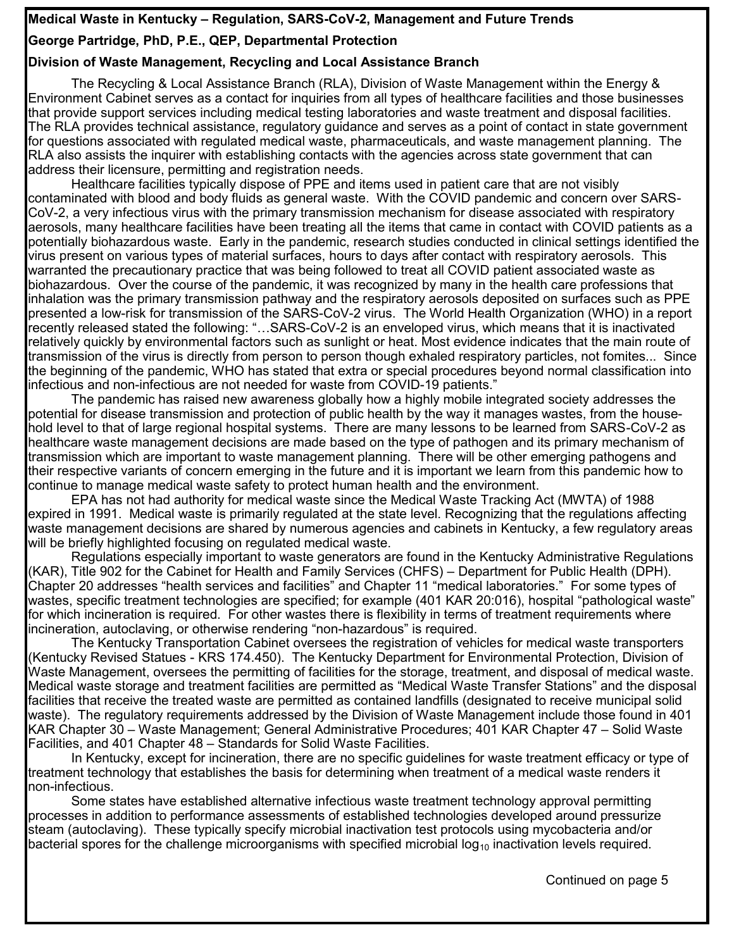# **Medical Waste in Kentucky – Regulation, SARS-CoV-2, Management and Future Trends**

# **George Partridge, PhD, P.E., QEP, Departmental Protection**

# **Division of Waste Management, Recycling and Local Assistance Branch**

The Recycling & Local Assistance Branch (RLA), Division of Waste Management within the Energy & Environment Cabinet serves as a contact for inquiries from all types of healthcare facilities and those businesses that provide support services including medical testing laboratories and waste treatment and disposal facilities. The RLA provides technical assistance, regulatory guidance and serves as a point of contact in state government for questions associated with regulated medical waste, pharmaceuticals, and waste management planning. The RLA also assists the inquirer with establishing contacts with the agencies across state government that can address their licensure, permitting and registration needs.

Healthcare facilities typically dispose of PPE and items used in patient care that are not visibly contaminated with blood and body fluids as general waste. With the COVID pandemic and concern over SARS-CoV-2, a very infectious virus with the primary transmission mechanism for disease associated with respiratory aerosols, many healthcare facilities have been treating all the items that came in contact with COVID patients as a potentially biohazardous waste. Early in the pandemic, research studies conducted in clinical settings identified the virus present on various types of material surfaces, hours to days after contact with respiratory aerosols. This warranted the precautionary practice that was being followed to treat all COVID patient associated waste as biohazardous. Over the course of the pandemic, it was recognized by many in the health care professions that inhalation was the primary transmission pathway and the respiratory aerosols deposited on surfaces such as PPE presented a low-risk for transmission of the SARS-CoV-2 virus. The World Health Organization (WHO) in a report recently released stated the following: "…SARS-CoV-2 is an enveloped virus, which means that it is inactivated relatively quickly by environmental factors such as sunlight or heat. Most evidence indicates that the main route of transmission of the virus is directly from person to person though exhaled respiratory particles, not fomites... Since the beginning of the pandemic, WHO has stated that extra or special procedures beyond normal classification into infectious and non-infectious are not needed for waste from COVID-19 patients."

The pandemic has raised new awareness globally how a highly mobile integrated society addresses the potential for disease transmission and protection of public health by the way it manages wastes, from the household level to that of large regional hospital systems. There are many lessons to be learned from SARS-CoV-2 as healthcare waste management decisions are made based on the type of pathogen and its primary mechanism of transmission which are important to waste management planning. There will be other emerging pathogens and their respective variants of concern emerging in the future and it is important we learn from this pandemic how to continue to manage medical waste safety to protect human health and the environment.

EPA has not had authority for medical waste since the Medical Waste Tracking Act (MWTA) of 1988 expired in 1991. Medical waste is primarily regulated at the state level. Recognizing that the regulations affecting waste management decisions are shared by numerous agencies and cabinets in Kentucky, a few regulatory areas will be briefly highlighted focusing on regulated medical waste.

Regulations especially important to waste generators are found in the Kentucky Administrative Regulations (KAR), Title 902 for the Cabinet for Health and Family Services (CHFS) – Department for Public Health (DPH). Chapter 20 addresses "health services and facilities" and Chapter 11 "medical laboratories." For some types of wastes, specific treatment technologies are specified; for example (401 KAR 20:016), hospital "pathological waste" for which incineration is required. For other wastes there is flexibility in terms of treatment requirements where incineration, autoclaving, or otherwise rendering "non-hazardous" is required.

The Kentucky Transportation Cabinet oversees the registration of vehicles for medical waste transporters (Kentucky Revised Statues - KRS 174.450). The Kentucky Department for Environmental Protection, Division of Waste Management, oversees the permitting of facilities for the storage, treatment, and disposal of medical waste. Medical waste storage and treatment facilities are permitted as "Medical Waste Transfer Stations" and the disposal facilities that receive the treated waste are permitted as contained landfills (designated to receive municipal solid waste). The regulatory requirements addressed by the Division of Waste Management include those found in 401 KAR Chapter 30 – Waste Management; General Administrative Procedures; 401 KAR Chapter 47 – Solid Waste Facilities, and 401 Chapter 48 – Standards for Solid Waste Facilities.

In Kentucky, except for incineration, there are no specific guidelines for waste treatment efficacy or type of treatment technology that establishes the basis for determining when treatment of a medical waste renders it non-infectious.

Some states have established alternative infectious waste treatment technology approval permitting processes in addition to performance assessments of established technologies developed around pressurize steam (autoclaving). These typically specify microbial inactivation test protocols using mycobacteria and/or bacterial spores for the challenge microorganisms with specified microbial log<sub>10</sub> inactivation levels required.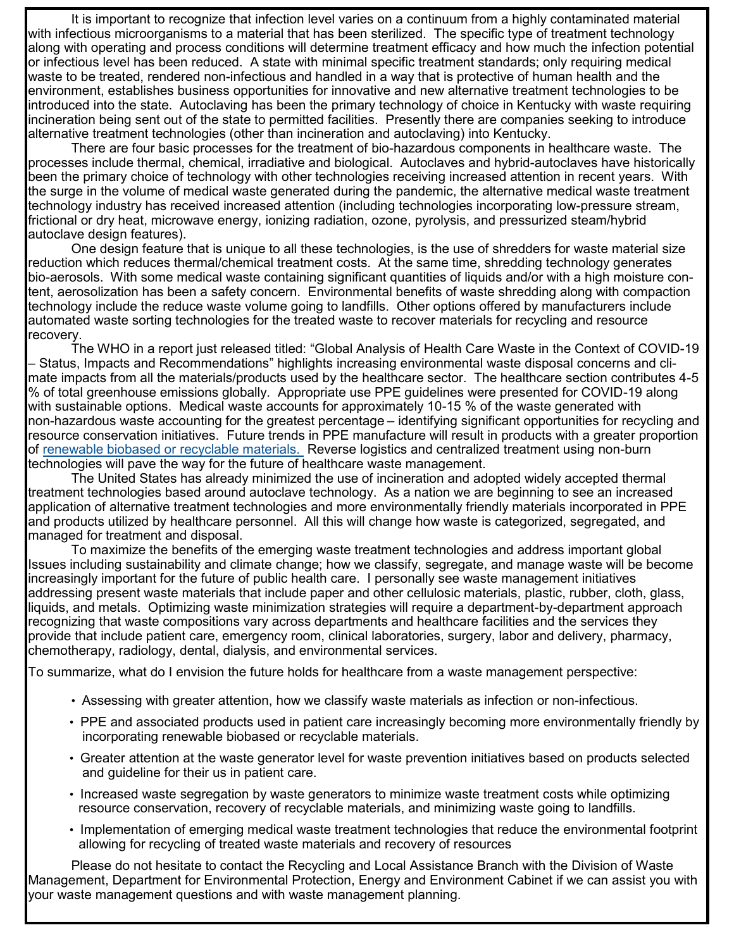It is important to recognize that infection level varies on a continuum from a highly contaminated material with infectious microorganisms to a material that has been sterilized. The specific type of treatment technology along with operating and process conditions will determine treatment efficacy and how much the infection potential or infectious level has been reduced. A state with minimal specific treatment standards; only requiring medical waste to be treated, rendered non-infectious and handled in a way that is protective of human health and the environment, establishes business opportunities for innovative and new alternative treatment technologies to be introduced into the state. Autoclaving has been the primary technology of choice in Kentucky with waste requiring incineration being sent out of the state to permitted facilities. Presently there are companies seeking to introduce alternative treatment technologies (other than incineration and autoclaving) into Kentucky.

There are four basic processes for the treatment of bio-hazardous components in healthcare waste. The processes include thermal, chemical, irradiative and biological. Autoclaves and hybrid-autoclaves have historically been the primary choice of technology with other technologies receiving increased attention in recent years. With the surge in the volume of medical waste generated during the pandemic, the alternative medical waste treatment technology industry has received increased attention (including technologies incorporating low-pressure stream, frictional or dry heat, microwave energy, ionizing radiation, ozone, pyrolysis, and pressurized steam/hybrid autoclave design features).

One design feature that is unique to all these technologies, is the use of shredders for waste material size reduction which reduces thermal/chemical treatment costs. At the same time, shredding technology generates bio-aerosols. With some medical waste containing significant quantities of liquids and/or with a high moisture content, aerosolization has been a safety concern. Environmental benefits of waste shredding along with compaction technology include the reduce waste volume going to landfills. Other options offered by manufacturers include automated waste sorting technologies for the treated waste to recover materials for recycling and resource recovery.

The WHO in a report just released titled: "Global Analysis of Health Care Waste in the Context of COVID-19 – Status, Impacts and Recommendations" highlights increasing environmental waste disposal concerns and climate impacts from all the materials/products used by the healthcare sector. The healthcare section contributes 4-5 % of total greenhouse emissions globally. Appropriate use PPE guidelines were presented for COVID-19 along with sustainable options. Medical waste accounts for approximately 10-15 % of the waste generated with non-hazardous waste accounting for the greatest percentage – identifying significant opportunities for recycling and resource conservation initiatives. Future trends in PPE manufacture will result in products with a greater proportion of renewable biobased or recyclable materials. Reverse logistics and centralized treatment using non-burn technologies will pave the way for the future of healthcare waste management.

The United States has already minimized the use of incineration and adopted widely accepted thermal treatment technologies based around autoclave technology. As a nation we are beginning to see an increased application of alternative treatment technologies and more environmentally friendly materials incorporated in PPE and products utilized by healthcare personnel. All this will change how waste is categorized, segregated, and managed for treatment and disposal.

To maximize the benefits of the emerging waste treatment technologies and address important global Issues including sustainability and climate change; how we classify, segregate, and manage waste will be become increasingly important for the future of public health care. I personally see waste management initiatives addressing present waste materials that include paper and other cellulosic materials, plastic, rubber, cloth, glass, liquids, and metals. Optimizing waste minimization strategies will require a department-by-department approach recognizing that waste compositions vary across departments and healthcare facilities and the services they provide that include patient care, emergency room, clinical laboratories, surgery, labor and delivery, pharmacy, chemotherapy, radiology, dental, dialysis, and environmental services.

To summarize, what do I envision the future holds for healthcare from a waste management perspective:

- Assessing with greater attention, how we classify waste materials as infection or non-infectious.
- PPE and associated products used in patient care increasingly becoming more environmentally friendly by incorporating renewable biobased or recyclable materials.
- Greater attention at the waste generator level for waste prevention initiatives based on products selected and guideline for their us in patient care.
- Increased waste segregation by waste generators to minimize waste treatment costs while optimizing resource conservation, recovery of recyclable materials, and minimizing waste going to landfills.
- Implementation of emerging medical waste treatment technologies that reduce the environmental footprint allowing for recycling of treated waste materials and recovery of resources

Please do not hesitate to contact the Recycling and Local Assistance Branch with the Division of Waste Management, Department for Environmental Protection, Energy and Environment Cabinet if we can assist you with your waste management questions and with waste management planning.